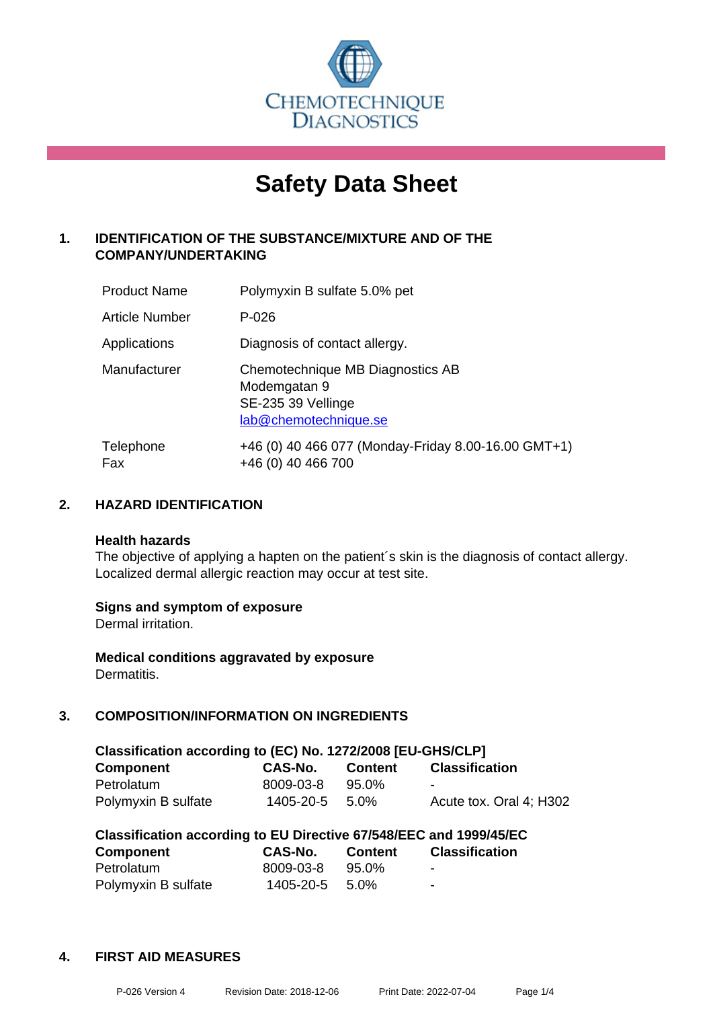

# **Safety Data Sheet**

# **1. IDENTIFICATION OF THE SUBSTANCE/MIXTURE AND OF THE COMPANY/UNDERTAKING**

| <b>Product Name</b>   | Polymyxin B sulfate 5.0% pet                                                                    |
|-----------------------|-------------------------------------------------------------------------------------------------|
| <b>Article Number</b> | $P - 026$                                                                                       |
| Applications          | Diagnosis of contact allergy.                                                                   |
| Manufacturer          | Chemotechnique MB Diagnostics AB<br>Modemgatan 9<br>SE-235 39 Vellinge<br>lab@chemotechnique.se |
| Telephone<br>Fax      | +46 (0) 40 466 077 (Monday-Friday 8.00-16.00 GMT+1)<br>+46 (0) 40 466 700                       |

## **2. HAZARD IDENTIFICATION**

#### **Health hazards**

The objective of applying a hapten on the patient's skin is the diagnosis of contact allergy. Localized dermal allergic reaction may occur at test site.

## **Signs and symptom of exposure**

Dermal irritation.

**Medical conditions aggravated by exposure** Dermatitis.

# **3. COMPOSITION/INFORMATION ON INGREDIENTS**

| Classification according to (EC) No. 1272/2008 [EU-GHS/CLP] |           |          |                         |  |  |
|-------------------------------------------------------------|-----------|----------|-------------------------|--|--|
| <b>Component</b>                                            | CAS-No.   | Content  | <b>Classification</b>   |  |  |
| Petrolatum                                                  | 8009-03-8 | $95.0\%$ | -                       |  |  |
| Polymyxin B sulfate                                         | 1405-20-5 | 5.0%     | Acute tox. Oral 4: H302 |  |  |

| Classification according to EU Directive 67/548/EEC and 1999/45/EC |           |                |                          |  |
|--------------------------------------------------------------------|-----------|----------------|--------------------------|--|
| <b>Component</b>                                                   | CAS-No.   | <b>Content</b> | <b>Classification</b>    |  |
| Petrolatum                                                         | 8009-03-8 | 95.0%          | -                        |  |
| Polymyxin B sulfate                                                | 1405-20-5 | 5.0%           | $\overline{\phantom{0}}$ |  |

## **4. FIRST AID MEASURES**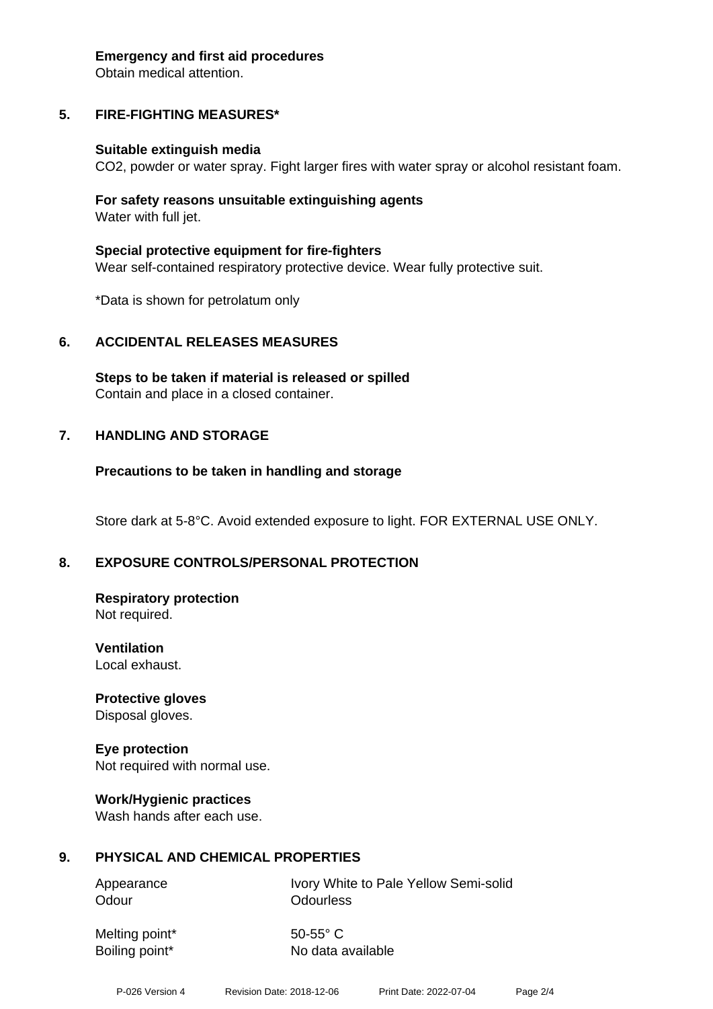#### **Emergency and first aid procedures**

Obtain medical attention.

## **5. FIRE-FIGHTING MEASURES\***

#### **Suitable extinguish media**

CO2, powder or water spray. Fight larger fires with water spray or alcohol resistant foam.

#### **For safety reasons unsuitable extinguishing agents** Water with full jet.

**Special protective equipment for fire-fighters** Wear self-contained respiratory protective device. Wear fully protective suit.

\*Data is shown for petrolatum only

## **6. ACCIDENTAL RELEASES MEASURES**

**Steps to be taken if material is released or spilled** Contain and place in a closed container.

## **7. HANDLING AND STORAGE**

## **Precautions to be taken in handling and storage**

Store dark at 5-8°C. Avoid extended exposure to light. FOR EXTERNAL USE ONLY.

## **8. EXPOSURE CONTROLS/PERSONAL PROTECTION**

#### **Respiratory protection** Not required.

**Ventilation** Local exhaust.

**Protective gloves** Disposal gloves.

## **Eye protection** Not required with normal use.

# **Work/Hygienic practices**

Wash hands after each use.

## **9. PHYSICAL AND CHEMICAL PROPERTIES**

Odour **Odourless** 

Appearance **IVory White to Pale Yellow Semi-solid** 

Melting point\* 50-55° C

Boiling point\* No data available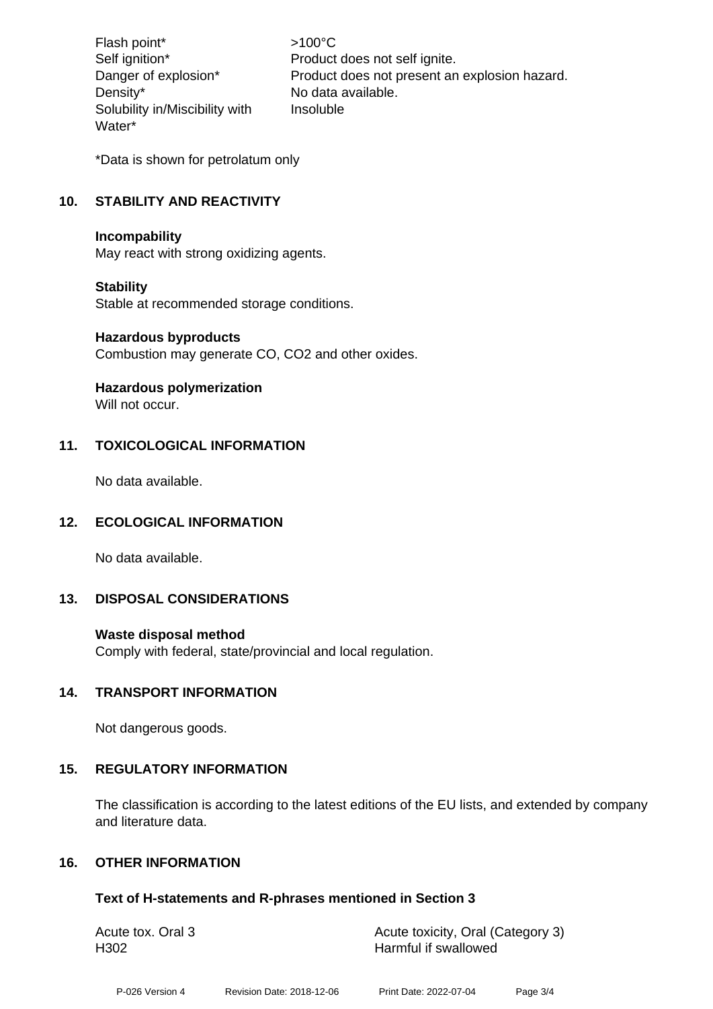Flash point\* >100°C Density\* No data available. Solubility in/Miscibility with Water\*

Self ignition\* Product does not self ignite. Danger of explosion\* Product does not present an explosion hazard. Insoluble

\*Data is shown for petrolatum only

# **10. STABILITY AND REACTIVITY**

## **Incompability**

May react with strong oxidizing agents.

## **Stability**

Stable at recommended storage conditions.

#### **Hazardous byproducts**

Combustion may generate CO, CO2 and other oxides.

## **Hazardous polymerization**

Will not occur.

## **11. TOXICOLOGICAL INFORMATION**

No data available.

## **12. ECOLOGICAL INFORMATION**

No data available.

## **13. DISPOSAL CONSIDERATIONS**

## **Waste disposal method**

Comply with federal, state/provincial and local regulation.

## **14. TRANSPORT INFORMATION**

Not dangerous goods.

## **15. REGULATORY INFORMATION**

The classification is according to the latest editions of the EU lists, and extended by company and literature data.

## **16. OTHER INFORMATION**

## **Text of H-statements and R-phrases mentioned in Section 3**

| Acute tox. Oral 3 | Acute toxicity, Oral (Category 3) |
|-------------------|-----------------------------------|
| H <sub>302</sub>  | Harmful if swallowed              |
|                   |                                   |